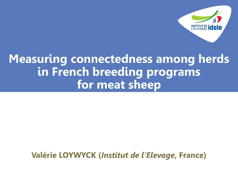

# **Measuring connectedness among herds in French breeding programs for meat sheep**

**Valérie LOYWYCK (***Institut de l'Elevage***, France)**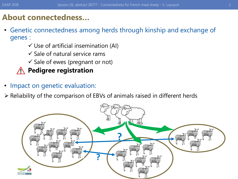### **About connectedness…**

- Genetic connectedness among herds through kinship and exchange of genes :
	- $\checkmark$  Use of artificial insemination (AI)
	- $\checkmark$  Sale of natural service rams
	- $\checkmark$  Sale of ewes (pregnant or not)

### **Pedigree registration**

- Impact on genetic evaluation:
- ➢ Reliability of the comparison of EBVs of animals raised in different herds

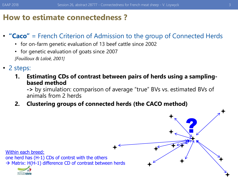### **How to estimate connectedness ?**

### • **"Caco"** = French Criterion of Admission to the group of Connected Herds

- for on-farm genetic evaluation of 13 beef cattle since 2002
- for genetic evaluation of goats since 2007 *[Fouilloux & Laloë, 2001]*
- 2 steps:
	- **1. Estimating CDs of contrast between pairs of herds using a samplingbased method**

**->** by simulation: comparison of average "true" BVs vs. estimated BVs of animals from 2 herds

F

 $\frac{1}{74}$ 

?

F<br>T

 $\bigstar$ 

 $\bigstar$ 

 $+$   $+$ 

 $\bigstar$ 

**2. Clustering groups of connected herds (the CACO method)**

 $\bigstar$ Within each breed: one herd has (H-1) CDs of contrst with the others  $\rightarrow$  Matrix: H(H-1) difference CD of contrast between herds



 $\bigstar$ 

 $\biguparrow$ 

 $\bigstar$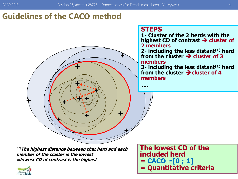### **Guidelines of the CACO method**



### **STEPS 1- Cluster of the 2 herds with the highest CD of contrast** ➔ **cluster of 2 members 2- including the less distant(1) herd from the cluster** ➔ **cluster of 3**

### **members 3- including the less distant(1) herd**

**from the cluster** ➔**cluster of 4 members**

**…**

**(1)The highest distance between that herd and each member of the cluster is the lowest =lowest CD of contrast is the highest**



**The lowest CD of the included herd**  $=$  **CACO**  $\in$  [0 ; 1] **= Quantitative criteria**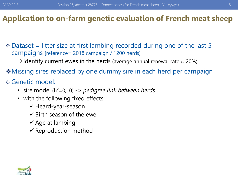- ❖ Dataset = litter size at first lambing recorded during one of the last 5 campaigns [reference= 2018 campaign / 1200 herds]
	- $\rightarrow$ Identify current ewes in the herds (average annual renewal rate  $\approx$  20%)
- ❖Missing sires replaced by one dummy sire in each herd per campaign
- ❖ Genetic model:
	- sire model (h²=0,10) *-> pedigree link between herds*
	- with the following fixed effects:
		- ✓ Heard-year-season
		- $\checkmark$  Birth season of the ewe
		- $\checkmark$  Age at lambing
		- $\checkmark$  Reproduction method

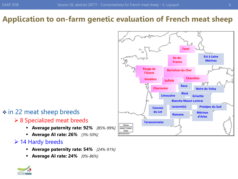#### **Texel Est à Laine Ile-de-Mérinos France Rouge de Berrichon du Cher l'Ouest Charollais Vendéen Suffolk Rava Charmoise Noire du Velay Bizet Limousine Grivette Blanche Massif Central Lacaune(s) Préalpes du Sud Causses du Lot Mérinos Romane d'Arles Tarasconnaise** 開き日 60 mi **B Cardel Dates**

### ❖ in 22 meat sheep breeds

### ➢ 8 Specialized meat breeds

- **Average paternity rate: 92%** *[85%-99%]*
- **Average AI rate: 26%** *[3%-50%]*

### ➢ 14 Hardy breeds

- **Average paternity rate: 54%** *[24%-91%]*
- **Average AI rate: 24%** *[0%-86%]*

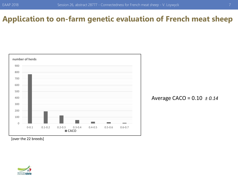

### Average CACO = 0.10 *± 0.14*

[over the 22 breeds]

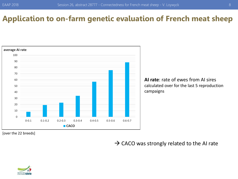

[over the 22 breeds]

 $\rightarrow$  CACO was strongly related to the AI rate

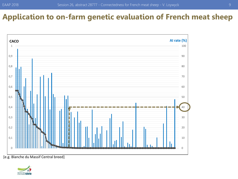

[e.g. Blanche du Massif Central breed]

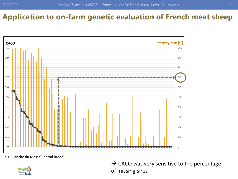

[e.g. Blanche du Massif Central breed]



 $\rightarrow$  CACO was very sensitive to the percentage of missing sires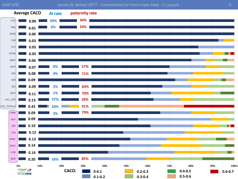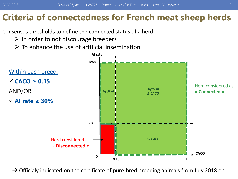# **Criteria of connectedness for French meat sheep herds**

Consensus thresholds to define the connected status of a herd

- $\triangleright$  In order to not discourage breeders
- $\triangleright$  To enhance the use of artificial insemination



 $\rightarrow$  Officialy indicated on the certificate of pure-bred breeding animals from July 2018 on